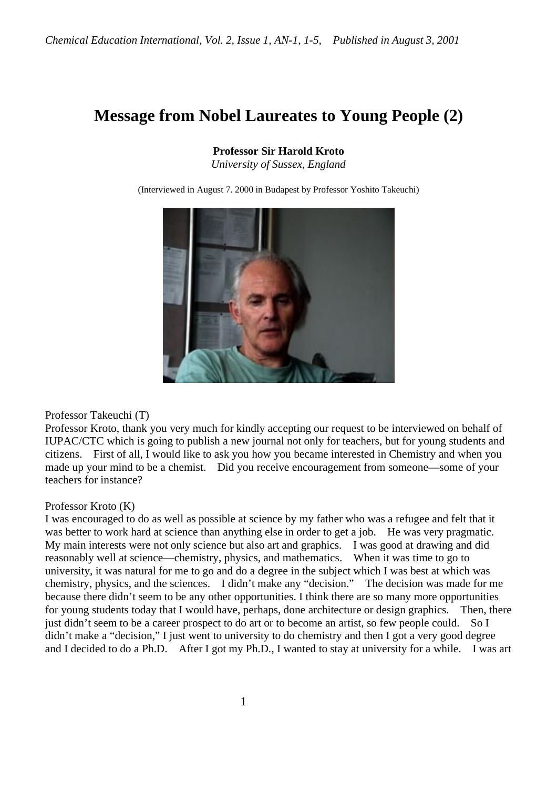## **Message from Nobel Laureates to Young People (2)**

**Professor Sir Harold Kroto** *University of Sussex, England*

(Interviewed in August 7. 2000 in Budapest by Professor Yoshito Takeuchi)



Professor Takeuchi (T)

Professor Kroto, thank you very much for kindly accepting our request to be interviewed on behalf of IUPAC/CTC which is going to publish a new journal not only for teachers, but for young students and citizens. First of all, I would like to ask you how you became interested in Chemistry and when you made up your mind to be a chemist. Did you receive encouragement from someone—some of your teachers for instance?

## Professor Kroto (K)

I was encouraged to do as well as possible at science by my father who was a refugee and felt that it was better to work hard at science than anything else in order to get a job. He was very pragmatic. My main interests were not only science but also art and graphics. I was good at drawing and did reasonably well at science—chemistry, physics, and mathematics. When it was time to go to university, it was natural for me to go and do a degree in the subject which I was best at which was chemistry, physics, and the sciences. I didn't make any "decision." The decision was made for me because there didn't seem to be any other opportunities. I think there are so many more opportunities for young students today that I would have, perhaps, done architecture or design graphics. Then, there just didn't seem to be a career prospect to do art or to become an artist, so few people could. So I didn't make a "decision," I just went to university to do chemistry and then I got a very good degree and I decided to do a Ph.D. After I got my Ph.D., I wanted to stay at university for a while. I was art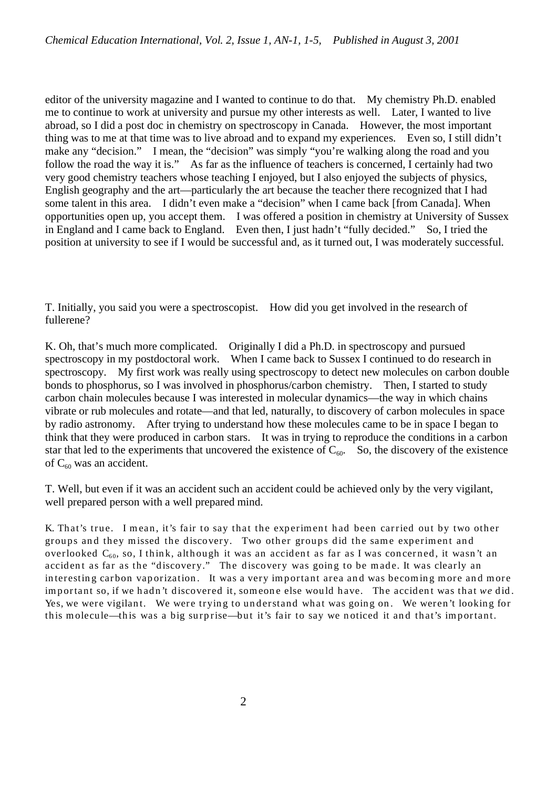editor of the university magazine and I wanted to continue to do that. My chemistry Ph.D. enabled me to continue to work at university and pursue my other interests as well. Later, I wanted to live abroad, so I did a post doc in chemistry on spectroscopy in Canada. However, the most important thing was to me at that time was to live abroad and to expand my experiences. Even so, I still didn't make any "decision." I mean, the "decision" was simply "you're walking along the road and you follow the road the way it is." As far as the influence of teachers is concerned, I certainly had two very good chemistry teachers whose teaching I enjoyed, but I also enjoyed the subjects of physics, English geography and the art—particularly the art because the teacher there recognized that I had some talent in this area. I didn't even make a "decision" when I came back [from Canada]. When opportunities open up, you accept them. I was offered a position in chemistry at University of Sussex in England and I came back to England. Even then, I just hadn't "fully decided." So, I tried the position at university to see if I would be successful and, as it turned out, I was moderately successful.

T. Initially, you said you were a spectroscopist. How did you get involved in the research of fullerene?

K. Oh, that's much more complicated. Originally I did a Ph.D. in spectroscopy and pursued spectroscopy in my postdoctoral work. When I came back to Sussex I continued to do research in spectroscopy. My first work was really using spectroscopy to detect new molecules on carbon double bonds to phosphorus, so I was involved in phosphorus/carbon chemistry. Then, I started to study carbon chain molecules because I was interested in molecular dynamics—the way in which chains vibrate or rub molecules and rotate—and that led, naturally, to discovery of carbon molecules in space by radio astronomy. After trying to understand how these molecules came to be in space I began to think that they were produced in carbon stars. It was in trying to reproduce the conditions in a carbon star that led to the experiments that uncovered the existence of  $C_{60}$ . So, the discovery of the existence of  $C_{60}$  was an accident.

T. Well, but even if it was an accident such an accident could be achieved only by the very vigilant, well prepared person with a well prepared mind.

K. That's true. I mean, it's fair to say that the experiment had been carried out by two other groups and they missed the discovery. Two other groups did the same experiment and overlooked  $C_{60}$ , so, I think, although it was an accident as far as I was concerned, it wasn't an accident as far as the "discovery." The discovery was going to be made. It was clearly an interesting carbon vaporization. It was a very important area and was becoming more and more important so, if we hadn't discovered it, someone else would have. The accident was that we did. Yes, we were vigilant. We were trying to understand what was going on. We weren't looking for this molecule—this was a big surprise—but it's fair to say we noticed it and that's important.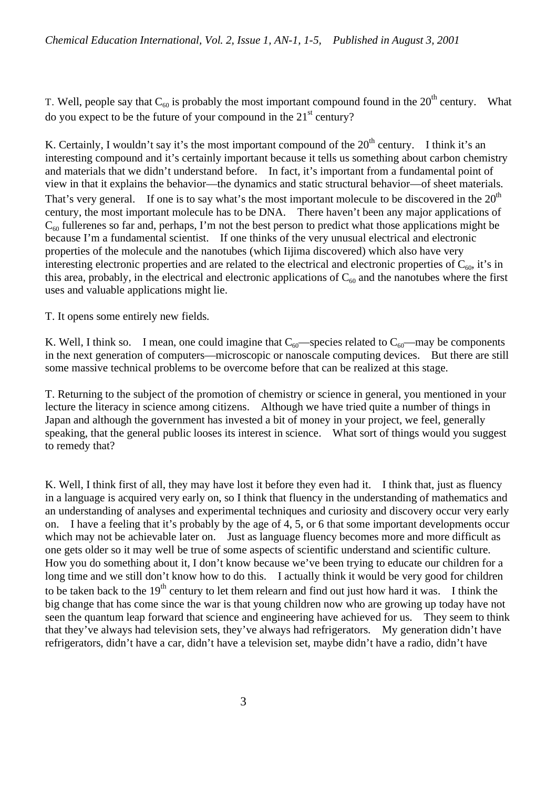T. Well, people say that  $C_{60}$  is probably the most important compound found in the 20<sup>th</sup> century. What do you expect to be the future of your compound in the  $21<sup>st</sup>$  century?

K. Certainly, I wouldn't say it's the most important compound of the  $20<sup>th</sup>$  century. I think it's an interesting compound and it's certainly important because it tells us something about carbon chemistry and materials that we didn't understand before. In fact, it's important from a fundamental point of view in that it explains the behavior—the dynamics and static structural behavior—of sheet materials. That's very general. If one is to say what's the most important molecule to be discovered in the  $20<sup>th</sup>$ century, the most important molecule has to be DNA. There haven't been any major applications of  $C_{60}$  fullerenes so far and, perhaps, I'm not the best person to predict what those applications might be because I'm a fundamental scientist. If one thinks of the very unusual electrical and electronic properties of the molecule and the nanotubes (which Iijima discovered) which also have very interesting electronic properties and are related to the electrical and electronic properties of  $C_{60}$ , it's in this area, probably, in the electrical and electronic applications of  $C_{60}$  and the nanotubes where the first uses and valuable applications might lie.

T. It opens some entirely new fields.

K. Well, I think so. I mean, one could imagine that  $C_{60}$ —species related to  $C_{60}$ —may be components in the next generation of computers—microscopic or nanoscale computing devices. But there are still some massive technical problems to be overcome before that can be realized at this stage.

T. Returning to the subject of the promotion of chemistry or science in general, you mentioned in your lecture the literacy in science among citizens. Although we have tried quite a number of things in Japan and although the government has invested a bit of money in your project, we feel, generally speaking, that the general public looses its interest in science. What sort of things would you suggest to remedy that?

K. Well, I think first of all, they may have lost it before they even had it. I think that, just as fluency in a language is acquired very early on, so I think that fluency in the understanding of mathematics and an understanding of analyses and experimental techniques and curiosity and discovery occur very early on. I have a feeling that it's probably by the age of 4, 5, or 6 that some important developments occur which may not be achievable later on. Just as language fluency becomes more and more difficult as one gets older so it may well be true of some aspects of scientific understand and scientific culture. How you do something about it, I don't know because we've been trying to educate our children for a long time and we still don't know how to do this. I actually think it would be very good for children to be taken back to the  $19<sup>th</sup>$  century to let them relearn and find out just how hard it was. I think the big change that has come since the war is that young children now who are growing up today have not seen the quantum leap forward that science and engineering have achieved for us. They seem to think that they've always had television sets, they've always had refrigerators. My generation didn't have refrigerators, didn't have a car, didn't have a television set, maybe didn't have a radio, didn't have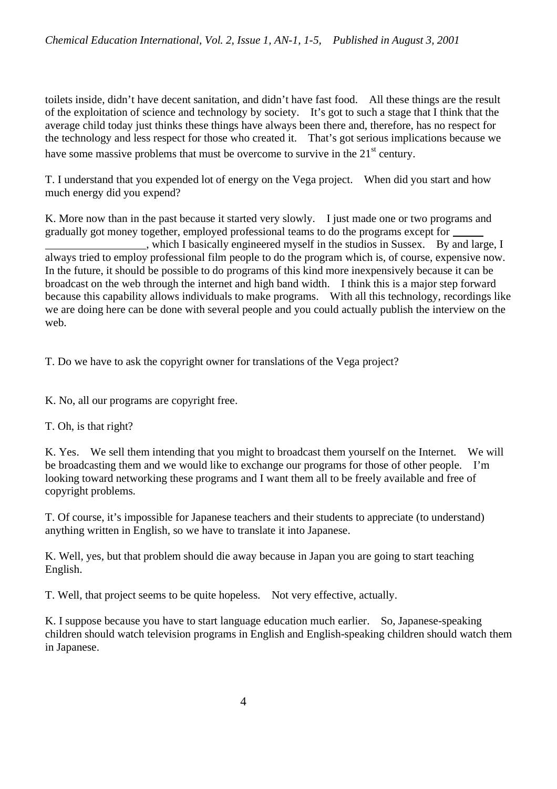toilets inside, didn't have decent sanitation, and didn't have fast food. All these things are the result of the exploitation of science and technology by society. It's got to such a stage that I think that the average child today just thinks these things have always been there and, therefore, has no respect for the technology and less respect for those who created it. That's got serious implications because we have some massive problems that must be overcome to survive in the  $21<sup>st</sup>$  century.

T. I understand that you expended lot of energy on the Vega project. When did you start and how much energy did you expend?

K. More now than in the past because it started very slowly. I just made one or two programs and gradually got money together, employed professional teams to do the programs except for , which I basically engineered myself in the studios in Sussex. By and large, I always tried to employ professional film people to do the program which is, of course, expensive now. In the future, it should be possible to do programs of this kind more inexpensively because it can be broadcast on the web through the internet and high band width. I think this is a major step forward because this capability allows individuals to make programs. With all this technology, recordings like we are doing here can be done with several people and you could actually publish the interview on the web.

T. Do we have to ask the copyright owner for translations of the Vega project?

K. No, all our programs are copyright free.

T. Oh, is that right?

K. Yes. We sell them intending that you might to broadcast them yourself on the Internet. We will be broadcasting them and we would like to exchange our programs for those of other people. I'm looking toward networking these programs and I want them all to be freely available and free of copyright problems.

T. Of course, it's impossible for Japanese teachers and their students to appreciate (to understand) anything written in English, so we have to translate it into Japanese.

K. Well, yes, but that problem should die away because in Japan you are going to start teaching English.

T. Well, that project seems to be quite hopeless. Not very effective, actually.

K. I suppose because you have to start language education much earlier. So, Japanese-speaking children should watch television programs in English and English-speaking children should watch them in Japanese.